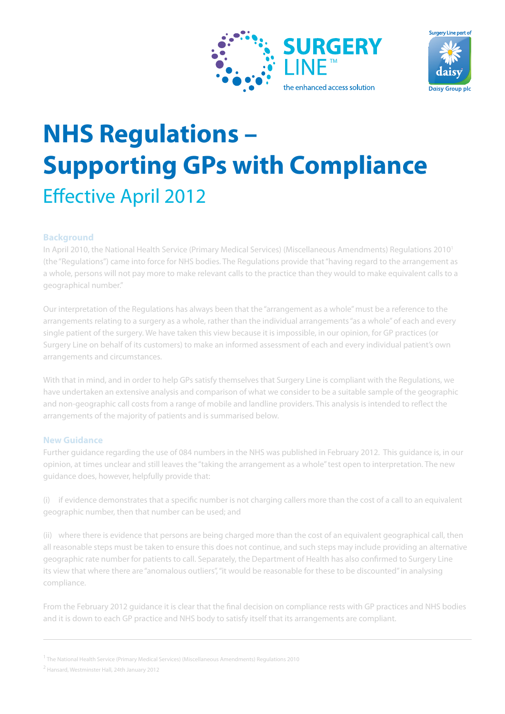



# **NHS Regulations – Supporting GPs with Compliance Effective April 2012**

## **Background**

In April 2010, the National Health Service (Primary Medical Services) (Miscellaneous Amendments) Regulations 2010<sup>1</sup> (the "Regulations") came into force for NHS bodies. The Regulations provide that "having regard to the arrangement as a whole, persons will not pay more to make relevant calls to the practice than they would to make equivalent calls to a geographical number."

Our interpretation of the Regulations has always been that the "arrangement as a whole" must be a reference to the arrangements relating to a surgery as a whole, rather than the individual arrangements "as a whole" of each and every single patient of the surgery. We have taken this view because it is impossible, in our opinion, for GP practices (or Surgery Line on behalf of its customers) to make an informed assessment of each and every individual patient's own arrangements and circumstances.

With that in mind, and in order to help GPs satisfy themselves that Surgery Line is compliant with the Regulations, we have undertaken an extensive analysis and comparison of what we consider to be a suitable sample of the geographic and non-geographic call costs from a range of mobile and landline providers. This analysis is intended to reflect the arrangements of the majority of patients and is summarised below.

### **New Guidance**

Further guidance regarding the use of 084 numbers in the NHS was published in February 2012. This guidance is, in our opinion, at times unclear and still leaves the "taking the arrangement as a whole" test open to interpretation. The new guidance does, however, helpfully provide that:

 $(i)$  if evidence demonstrates that a specific number is not charging callers more than the cost of a call to an equivalent geographic number, then that number can be used; and

(ii) where there is evidence that persons are being charged more than the cost of an equivalent geographical call, then all reasonable steps must be taken to ensure this does not continue, and such steps may include providing an alternative geographic rate number for patients to call. Separately, the Department of Health has also confirmed to Surgery Line its view that where there are "anomalous outliers", "it would be reasonable for these to be discounted" in analysing compliance.

From the February 2012 guidance it is clear that the final decision on compliance rests with GP practices and NHS bodies and it is down to each GP practice and NHS body to satisfy itself that its arrangements are compliant.

<sup>&</sup>lt;sup>1</sup> The National Health Service (Primary Medical Services) (Miscellaneous Amendments) Regulations 2010

<sup>2</sup> Hansard, Westminster Hall, 24th January 2012